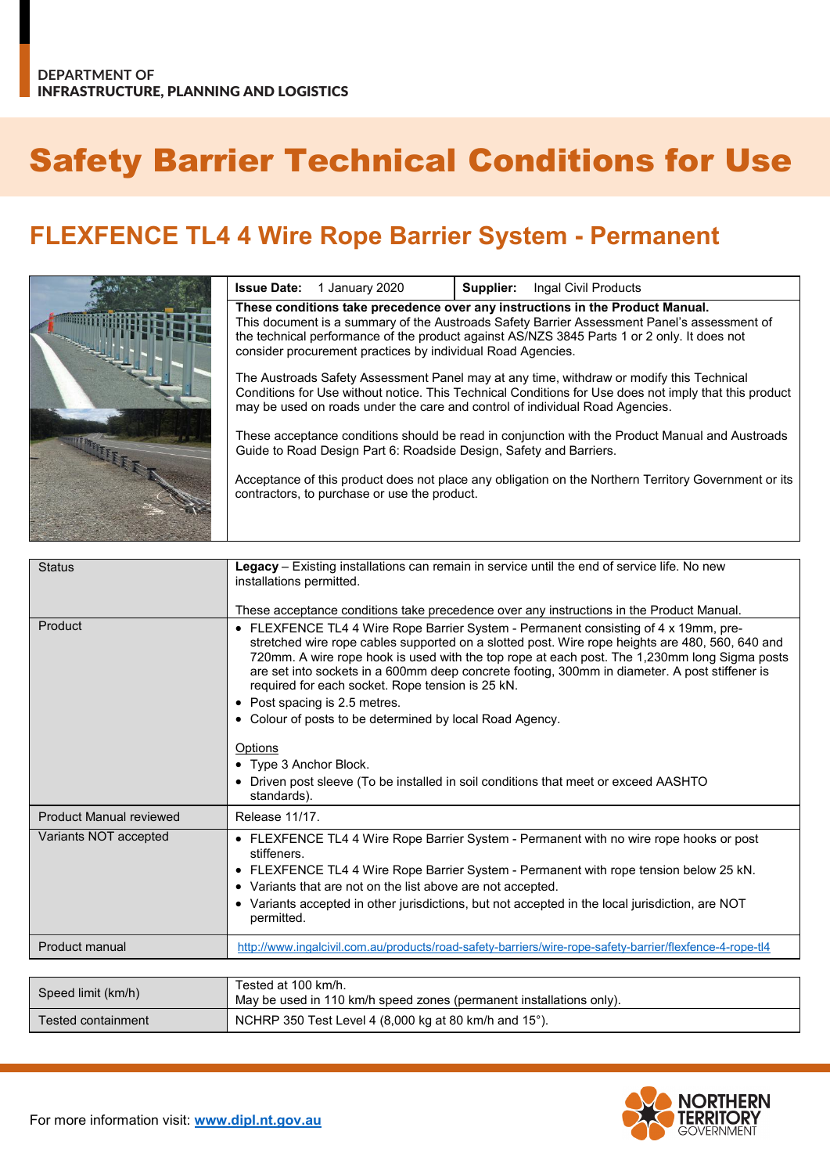## Safety Barrier Technical Conditions for Use

## **FLEXFENCE TL4 4 Wire Rope Barrier System - Permanent**

|                                                                               | <b>Issue Date:</b> 1 January 2020                                  | Supplier: | Ingal Civil Products                                                                                                                                                                                                                                                              |
|-------------------------------------------------------------------------------|--------------------------------------------------------------------|-----------|-----------------------------------------------------------------------------------------------------------------------------------------------------------------------------------------------------------------------------------------------------------------------------------|
| These conditions take precedence over any instructions in the Product Manual. |                                                                    |           |                                                                                                                                                                                                                                                                                   |
|                                                                               | consider procurement practices by individual Road Agencies.        |           | This document is a summary of the Austroads Safety Barrier Assessment Panel's assessment of<br>the technical performance of the product against AS/NZS 3845 Parts 1 or 2 only. It does not                                                                                        |
|                                                                               |                                                                    |           | The Austroads Safety Assessment Panel may at any time, withdraw or modify this Technical<br>Conditions for Use without notice. This Technical Conditions for Use does not imply that this product<br>may be used on roads under the care and control of individual Road Agencies. |
|                                                                               | Guide to Road Design Part 6: Roadside Design, Safety and Barriers. |           | These acceptance conditions should be read in conjunction with the Product Manual and Austroads                                                                                                                                                                                   |
|                                                                               | contractors, to purchase or use the product.                       |           | Acceptance of this product does not place any obligation on the Northern Territory Government or its                                                                                                                                                                              |

| <b>Status</b>                  | Legacy - Existing installations can remain in service until the end of service life. No new                                                                                                                                                                                                                                                                                                                                                                                                                                              |
|--------------------------------|------------------------------------------------------------------------------------------------------------------------------------------------------------------------------------------------------------------------------------------------------------------------------------------------------------------------------------------------------------------------------------------------------------------------------------------------------------------------------------------------------------------------------------------|
|                                | installations permitted.                                                                                                                                                                                                                                                                                                                                                                                                                                                                                                                 |
|                                |                                                                                                                                                                                                                                                                                                                                                                                                                                                                                                                                          |
|                                | These acceptance conditions take precedence over any instructions in the Product Manual.                                                                                                                                                                                                                                                                                                                                                                                                                                                 |
| Product                        | • FLEXFENCE TL4 4 Wire Rope Barrier System - Permanent consisting of 4 x 19mm, pre-<br>stretched wire rope cables supported on a slotted post. Wire rope heights are 480, 560, 640 and<br>720mm. A wire rope hook is used with the top rope at each post. The 1,230mm long Sigma posts<br>are set into sockets in a 600mm deep concrete footing, 300mm in diameter. A post stiffener is<br>required for each socket. Rope tension is 25 kN.<br>• Post spacing is 2.5 metres.<br>• Colour of posts to be determined by local Road Agency. |
|                                | Options                                                                                                                                                                                                                                                                                                                                                                                                                                                                                                                                  |
|                                |                                                                                                                                                                                                                                                                                                                                                                                                                                                                                                                                          |
|                                | • Type 3 Anchor Block.                                                                                                                                                                                                                                                                                                                                                                                                                                                                                                                   |
|                                | • Driven post sleeve (To be installed in soil conditions that meet or exceed AASHTO<br>standards).                                                                                                                                                                                                                                                                                                                                                                                                                                       |
| <b>Product Manual reviewed</b> | Release 11/17.                                                                                                                                                                                                                                                                                                                                                                                                                                                                                                                           |
| Variants NOT accepted          | • FLEXFENCE TL4 4 Wire Rope Barrier System - Permanent with no wire rope hooks or post<br>stiffeners.<br>• FLEXFENCE TL4 4 Wire Rope Barrier System - Permanent with rope tension below 25 kN.                                                                                                                                                                                                                                                                                                                                           |
|                                | • Variants that are not on the list above are not accepted.                                                                                                                                                                                                                                                                                                                                                                                                                                                                              |
|                                | • Variants accepted in other jurisdictions, but not accepted in the local jurisdiction, are NOT<br>permitted.                                                                                                                                                                                                                                                                                                                                                                                                                            |
| Product manual                 | http://www.ingalcivil.com.au/products/road-safety-barriers/wire-rope-safety-barrier/flexfence-4-rope-tl4                                                                                                                                                                                                                                                                                                                                                                                                                                 |
|                                |                                                                                                                                                                                                                                                                                                                                                                                                                                                                                                                                          |
|                                | Tested at 100 km/h.                                                                                                                                                                                                                                                                                                                                                                                                                                                                                                                      |
| Speed limit (km/h)             | May be used in 110 km/h speed zones (permanent installations only).                                                                                                                                                                                                                                                                                                                                                                                                                                                                      |
|                                |                                                                                                                                                                                                                                                                                                                                                                                                                                                                                                                                          |



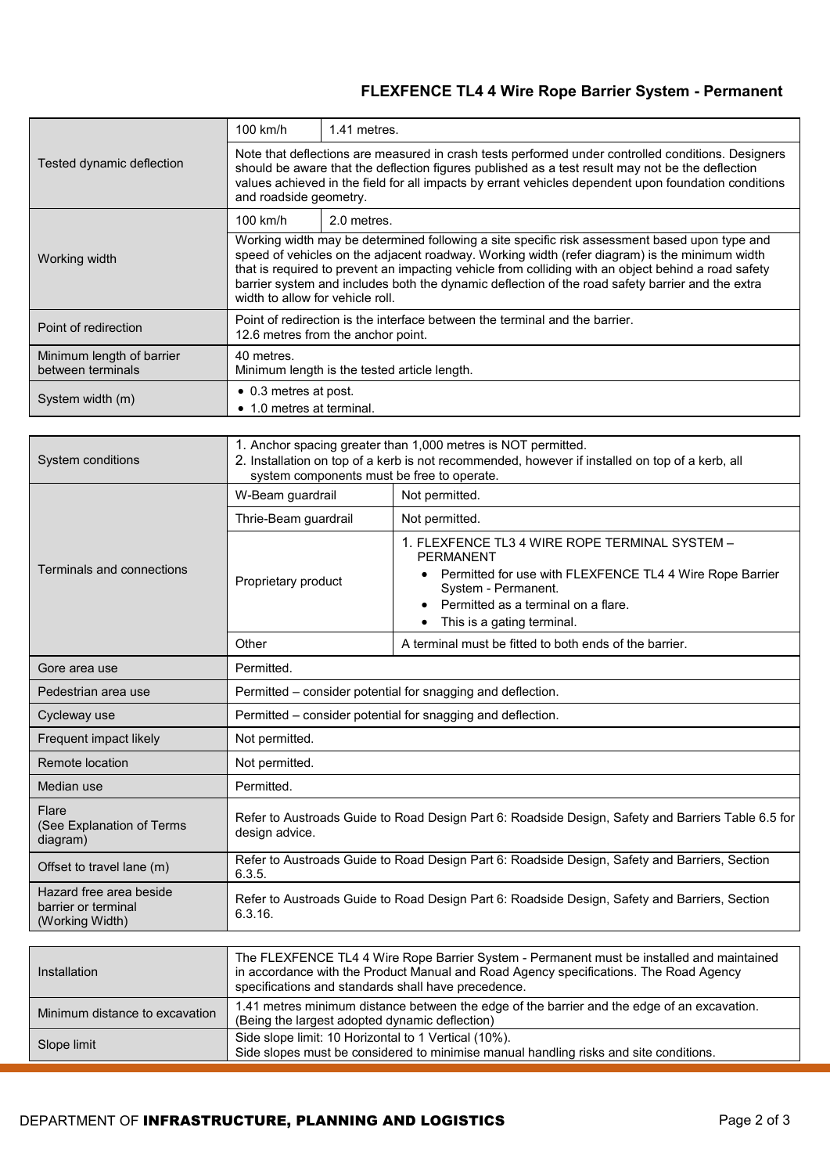## **FLEXFENCE TL4 4 Wire Rope Barrier System - Permanent**

|                                                | $100$ km/h                                                                                                                                                                                                                                                                                                                                                                                                                                    | 1.41 metres. |  |
|------------------------------------------------|-----------------------------------------------------------------------------------------------------------------------------------------------------------------------------------------------------------------------------------------------------------------------------------------------------------------------------------------------------------------------------------------------------------------------------------------------|--------------|--|
| Tested dynamic deflection                      | Note that deflections are measured in crash tests performed under controlled conditions. Designers<br>should be aware that the deflection figures published as a test result may not be the deflection<br>values achieved in the field for all impacts by errant vehicles dependent upon foundation conditions<br>and roadside geometry.                                                                                                      |              |  |
|                                                | 100 km/h                                                                                                                                                                                                                                                                                                                                                                                                                                      | 2.0 metres.  |  |
| Working width                                  | Working width may be determined following a site specific risk assessment based upon type and<br>speed of vehicles on the adjacent roadway. Working width (refer diagram) is the minimum width<br>that is required to prevent an impacting vehicle from colliding with an object behind a road safety<br>barrier system and includes both the dynamic deflection of the road safety barrier and the extra<br>width to allow for vehicle roll. |              |  |
| Point of redirection                           | Point of redirection is the interface between the terminal and the barrier.<br>12.6 metres from the anchor point.                                                                                                                                                                                                                                                                                                                             |              |  |
| Minimum length of barrier<br>between terminals | 40 metres.<br>Minimum length is the tested article length.                                                                                                                                                                                                                                                                                                                                                                                    |              |  |
| System width (m)                               | • 0.3 metres at post.<br>$\bullet$ 1.0 metres at terminal.                                                                                                                                                                                                                                                                                                                                                                                    |              |  |

| System conditions                                                 | 1. Anchor spacing greater than 1,000 metres is NOT permitted.<br>2. Installation on top of a kerb is not recommended, however if installed on top of a kerb, all<br>system components must be free to operate. |                                                                                                                                                                                                                              |  |
|-------------------------------------------------------------------|----------------------------------------------------------------------------------------------------------------------------------------------------------------------------------------------------------------|------------------------------------------------------------------------------------------------------------------------------------------------------------------------------------------------------------------------------|--|
|                                                                   | W-Beam guardrail                                                                                                                                                                                               | Not permitted.                                                                                                                                                                                                               |  |
|                                                                   | Thrie-Beam guardrail                                                                                                                                                                                           | Not permitted.                                                                                                                                                                                                               |  |
| Terminals and connections                                         | Proprietary product                                                                                                                                                                                            | 1. FLEXFENCE TL3 4 WIRE ROPE TERMINAL SYSTEM -<br><b>PERMANENT</b><br>• Permitted for use with FLEXFENCE TL4 4 Wire Rope Barrier<br>System - Permanent.<br>Permitted as a terminal on a flare.<br>This is a gating terminal. |  |
|                                                                   | Other                                                                                                                                                                                                          | A terminal must be fitted to both ends of the barrier.                                                                                                                                                                       |  |
| Gore area use                                                     | Permitted.                                                                                                                                                                                                     |                                                                                                                                                                                                                              |  |
| Pedestrian area use                                               | Permitted - consider potential for snagging and deflection.                                                                                                                                                    |                                                                                                                                                                                                                              |  |
| Cycleway use                                                      | Permitted - consider potential for snagging and deflection.                                                                                                                                                    |                                                                                                                                                                                                                              |  |
| Frequent impact likely                                            | Not permitted.                                                                                                                                                                                                 |                                                                                                                                                                                                                              |  |
| Remote location                                                   | Not permitted.                                                                                                                                                                                                 |                                                                                                                                                                                                                              |  |
| Median use                                                        | Permitted.                                                                                                                                                                                                     |                                                                                                                                                                                                                              |  |
| Flare<br>(See Explanation of Terms<br>diagram)                    | Refer to Austroads Guide to Road Design Part 6: Roadside Design, Safety and Barriers Table 6.5 for<br>design advice.                                                                                           |                                                                                                                                                                                                                              |  |
| Offset to travel lane (m)                                         | Refer to Austroads Guide to Road Design Part 6: Roadside Design, Safety and Barriers, Section<br>6.3.5.                                                                                                        |                                                                                                                                                                                                                              |  |
| Hazard free area beside<br>barrier or terminal<br>(Working Width) | Refer to Austroads Guide to Road Design Part 6: Roadside Design, Safety and Barriers, Section<br>6.3.16.                                                                                                       |                                                                                                                                                                                                                              |  |
|                                                                   |                                                                                                                                                                                                                |                                                                                                                                                                                                                              |  |
| Installation                                                      | specifications and standards shall have precedence.                                                                                                                                                            | The FLEXFENCE TL4 4 Wire Rope Barrier System - Permanent must be installed and maintained<br>in accordance with the Product Manual and Road Agency specifications. The Road Agency                                           |  |
| Minimum distance to excavation                                    | 1.41 metres minimum distance between the edge of the barrier and the edge of an excavation.<br>(Being the largest adopted dynamic deflection)                                                                  |                                                                                                                                                                                                                              |  |
| Slope limit                                                       | Side slope limit: 10 Horizontal to 1 Vertical (10%).<br>Side slopes must be considered to minimise manual handling risks and site conditions.                                                                  |                                                                                                                                                                                                                              |  |